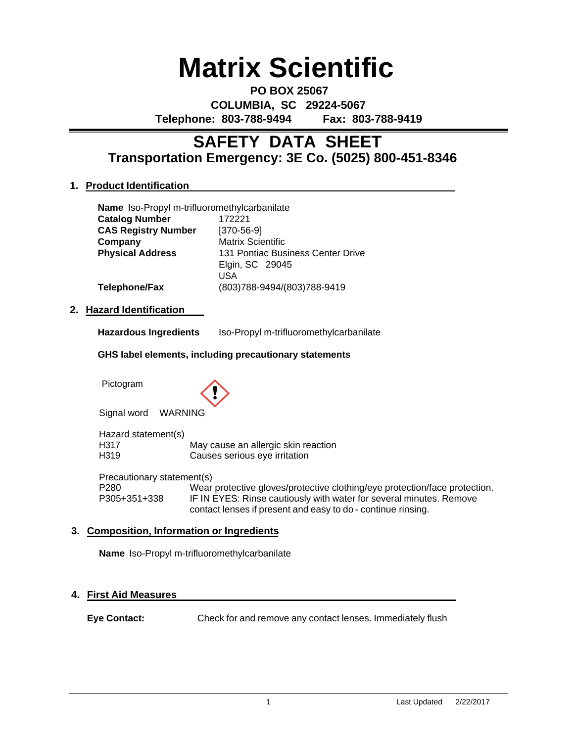# **Matrix Scientific**

**PO BOX 25067 COLUMBIA, SC 29224-5067 Telephone: 803-788-9494 Fax: 803-788-9419**

# **Transportation Emergency: 3E Co. (5025) 800-451-8346 SAFETY DATA SHEET**

# **1. Product Identification**

| Name Iso-Propyl m-trifluoromethylcarbanilate |                                   |
|----------------------------------------------|-----------------------------------|
| <b>Catalog Number</b>                        | 172221                            |
| <b>CAS Registry Number</b>                   | $[370-56-9]$                      |
| Company                                      | <b>Matrix Scientific</b>          |
| <b>Physical Address</b>                      | 131 Pontiac Business Center Drive |
|                                              | Elgin, SC 29045                   |
|                                              | USA                               |
| Telephone/Fax                                | (803)788-9494/(803)788-9419       |

# **2. Hazard Identification**

**Hazardous Ingredients** Iso-Propyl m-trifluoromethylcarbanilate

# **GHS label elements, including precautionary statements**

Pictogram



Signal word WARNING

Hazard statement(s) H317 May cause an allergic skin reaction H319 Causes serious eye irritation

Precautionary statement(s) P280 Wear protective gloves/protective clothing/eye protection/face protection. P305+351+338 IF IN EYES: Rinse cautiously with water for several minutes. Remove contact lenses if present and easy to do - continue rinsing.

# **3. Composition, Information or Ingredients**

**Name** Iso-Propyl m-trifluoromethylcarbanilate

# **4. First Aid Measures**

**Eye Contact:** Check for and remove any contact lenses. Immediately flush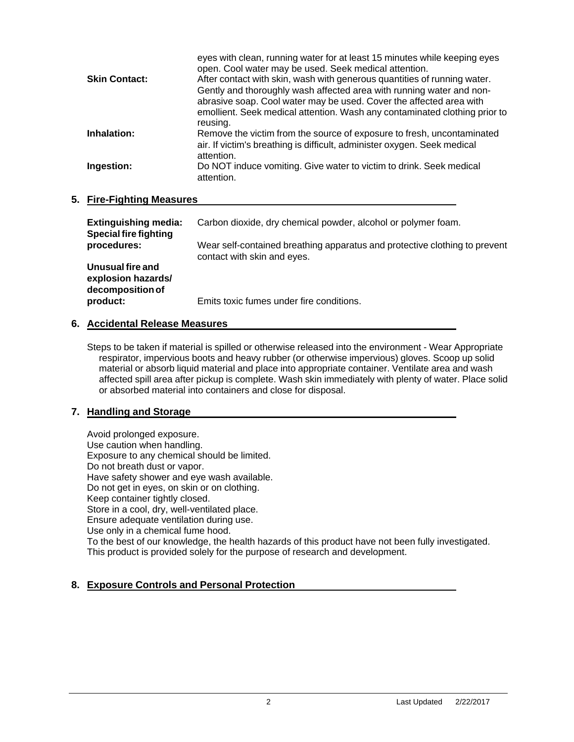|                      | eyes with clean, running water for at least 15 minutes while keeping eyes<br>open. Cool water may be used. Seek medical attention. |
|----------------------|------------------------------------------------------------------------------------------------------------------------------------|
| <b>Skin Contact:</b> | After contact with skin, wash with generous quantities of running water.                                                           |
|                      | Gently and thoroughly wash affected area with running water and non-                                                               |
|                      | abrasive soap. Cool water may be used. Cover the affected area with                                                                |
|                      | emollient. Seek medical attention. Wash any contaminated clothing prior to                                                         |
|                      | reusing.                                                                                                                           |
| Inhalation:          | Remove the victim from the source of exposure to fresh, uncontaminated                                                             |
|                      | air. If victim's breathing is difficult, administer oxygen. Seek medical                                                           |
|                      | attention.                                                                                                                         |
| Ingestion:           | Do NOT induce vomiting. Give water to victim to drink. Seek medical                                                                |
|                      | attention.                                                                                                                         |
|                      |                                                                                                                                    |

# **5. Fire-Fighting Measures**

| <b>Extinguishing media:</b><br><b>Special fire fighting</b> | Carbon dioxide, dry chemical powder, alcohol or polymer foam.                                             |
|-------------------------------------------------------------|-----------------------------------------------------------------------------------------------------------|
| procedures:                                                 | Wear self-contained breathing apparatus and protective clothing to prevent<br>contact with skin and eyes. |
| Unusual fire and<br>explosion hazards/<br>decomposition of  |                                                                                                           |
| product:                                                    | Emits toxic fumes under fire conditions.                                                                  |

# **6. Accidental Release Measures**

Steps to be taken if material is spilled or otherwise released into the environment - Wear Appropriate respirator, impervious boots and heavy rubber (or otherwise impervious) gloves. Scoop up solid material or absorb liquid material and place into appropriate container. Ventilate area and wash affected spill area after pickup is complete. Wash skin immediately with plenty of water. Place solid or absorbed material into containers and close for disposal.

# **7. Handling and Storage**

Avoid prolonged exposure. Use caution when handling. Exposure to any chemical should be limited. Do not breath dust or vapor. Have safety shower and eye wash available. Do not get in eyes, on skin or on clothing. Keep container tightly closed. Store in a cool, dry, well-ventilated place. Ensure adequate ventilation during use. Use only in a chemical fume hood. To the best of our knowledge, the health hazards of this product have not been fully investigated. This product is provided solely for the purpose of research and development.

# **8. Exposure Controls and Personal Protection**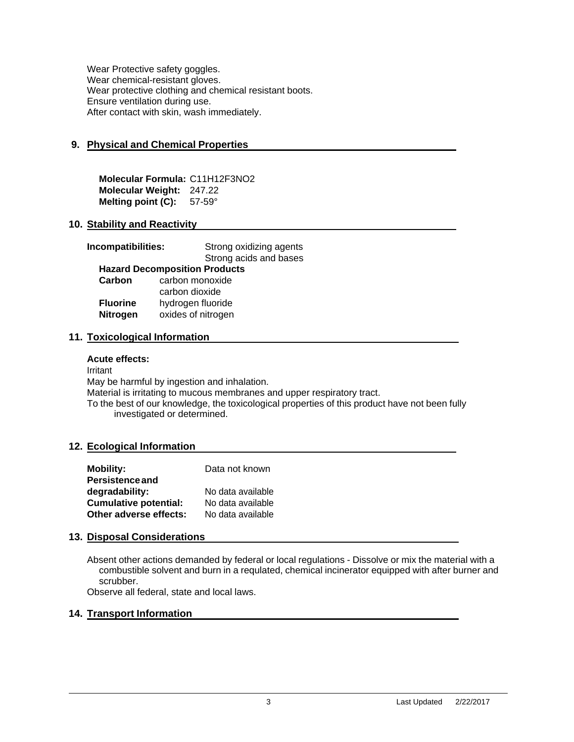Wear Protective safety goggles. Wear chemical-resistant gloves. Wear protective clothing and chemical resistant boots. Ensure ventilation during use. After contact with skin, wash immediately.

# **9. Physical and Chemical Properties**

**Molecular Formula:** C11H12F3NO2 **Molecular Weight:** 247.22 **Melting point (C):** 57-59°

# **10. Stability and Reactivity**

| Incompatibilities:<br>Strong oxidizing agents<br>Strong acids and bases |  |  |
|-------------------------------------------------------------------------|--|--|
|                                                                         |  |  |
| <b>Hazard Decomposition Products</b>                                    |  |  |
| carbon monoxide<br>Carbon                                               |  |  |
| carbon dioxide                                                          |  |  |
| hydrogen fluoride<br><b>Fluorine</b>                                    |  |  |
| oxides of nitrogen<br><b>Nitrogen</b>                                   |  |  |

# **11. Toxicological Information**

## **Acute effects:**

Irritant May be harmful by ingestion and inhalation. Material is irritating to mucous membranes and upper respiratory tract. To the best of our knowledge, the toxicological properties of this product have not been fully investigated or determined.

## **12. Ecological Information**

| <b>Mobility:</b>             | Data not known    |
|------------------------------|-------------------|
| <b>Persistence and</b>       |                   |
| degradability:               | No data available |
| <b>Cumulative potential:</b> | No data available |
| Other adverse effects:       | No data available |

## **13. Disposal Considerations**

Absent other actions demanded by federal or local regulations - Dissolve or mix the material with a combustible solvent and burn in a requlated, chemical incinerator equipped with after burner and scrubber.

Observe all federal, state and local laws.

## **14. Transport Information**